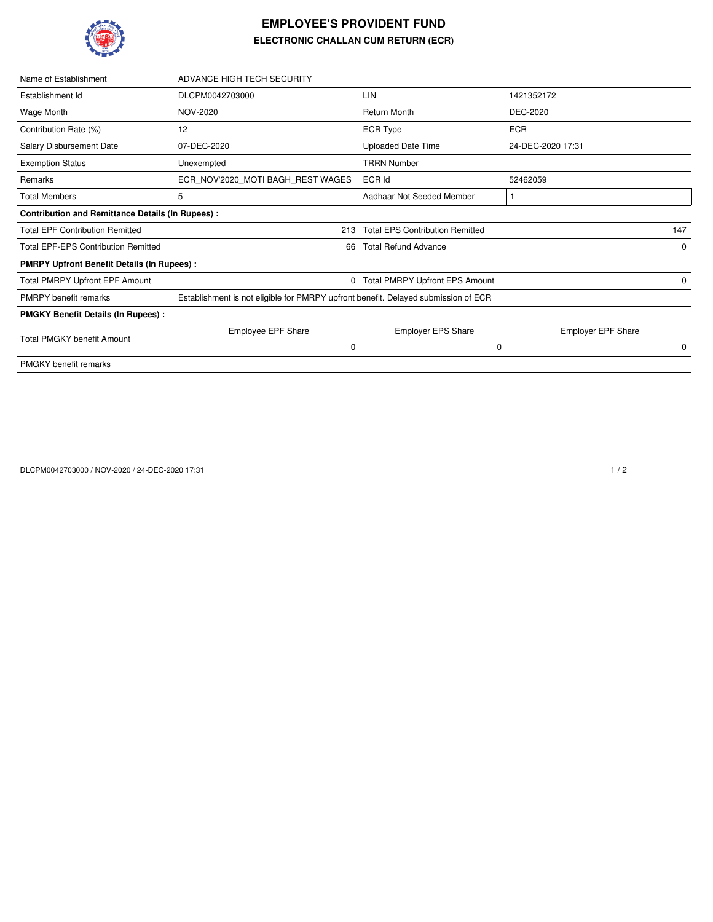

## **EMPLOYEE'S PROVIDENT FUND ELECTRONIC CHALLAN CUM RETURN (ECR)**

| Name of Establishment                                   | ADVANCE HIGH TECH SECURITY                                                         |                                        |                           |  |  |  |  |  |  |
|---------------------------------------------------------|------------------------------------------------------------------------------------|----------------------------------------|---------------------------|--|--|--|--|--|--|
| Establishment Id                                        | DLCPM0042703000                                                                    | LIN                                    | 1421352172                |  |  |  |  |  |  |
| Wage Month                                              | NOV-2020                                                                           | <b>Return Month</b>                    | DEC-2020                  |  |  |  |  |  |  |
| Contribution Rate (%)                                   | 12                                                                                 | <b>ECR Type</b>                        | <b>ECR</b>                |  |  |  |  |  |  |
| Salary Disbursement Date                                | 07-DEC-2020                                                                        | <b>Uploaded Date Time</b>              | 24-DEC-2020 17:31         |  |  |  |  |  |  |
| <b>Exemption Status</b>                                 | Unexempted                                                                         | <b>TRRN Number</b>                     |                           |  |  |  |  |  |  |
| Remarks                                                 | ECR NOV'2020 MOTI BAGH REST WAGES                                                  | ECR Id                                 | 52462059                  |  |  |  |  |  |  |
| <b>Total Members</b>                                    | 5                                                                                  | Aadhaar Not Seeded Member              |                           |  |  |  |  |  |  |
| <b>Contribution and Remittance Details (In Rupees):</b> |                                                                                    |                                        |                           |  |  |  |  |  |  |
| <b>Total EPF Contribution Remitted</b>                  | 213                                                                                | <b>Total EPS Contribution Remitted</b> | 147                       |  |  |  |  |  |  |
| <b>Total EPF-EPS Contribution Remitted</b>              | 66                                                                                 | <b>Total Refund Advance</b>            | $\Omega$                  |  |  |  |  |  |  |
| <b>PMRPY Upfront Benefit Details (In Rupees):</b>       |                                                                                    |                                        |                           |  |  |  |  |  |  |
| Total PMRPY Upfront EPF Amount                          | 0                                                                                  | 0                                      |                           |  |  |  |  |  |  |
| <b>PMRPY</b> benefit remarks                            | Establishment is not eligible for PMRPY upfront benefit. Delayed submission of ECR |                                        |                           |  |  |  |  |  |  |
| <b>PMGKY Benefit Details (In Rupees):</b>               |                                                                                    |                                        |                           |  |  |  |  |  |  |
| <b>Total PMGKY benefit Amount</b>                       | <b>Employee EPF Share</b>                                                          | <b>Employer EPS Share</b>              | <b>Employer EPF Share</b> |  |  |  |  |  |  |
|                                                         | $\mathbf 0$                                                                        | 0                                      | $\mathbf 0$               |  |  |  |  |  |  |
| <b>PMGKY</b> benefit remarks                            |                                                                                    |                                        |                           |  |  |  |  |  |  |

DLCPM0042703000 / NOV-2020 / 24-DEC-2020 17:31 1 / 2